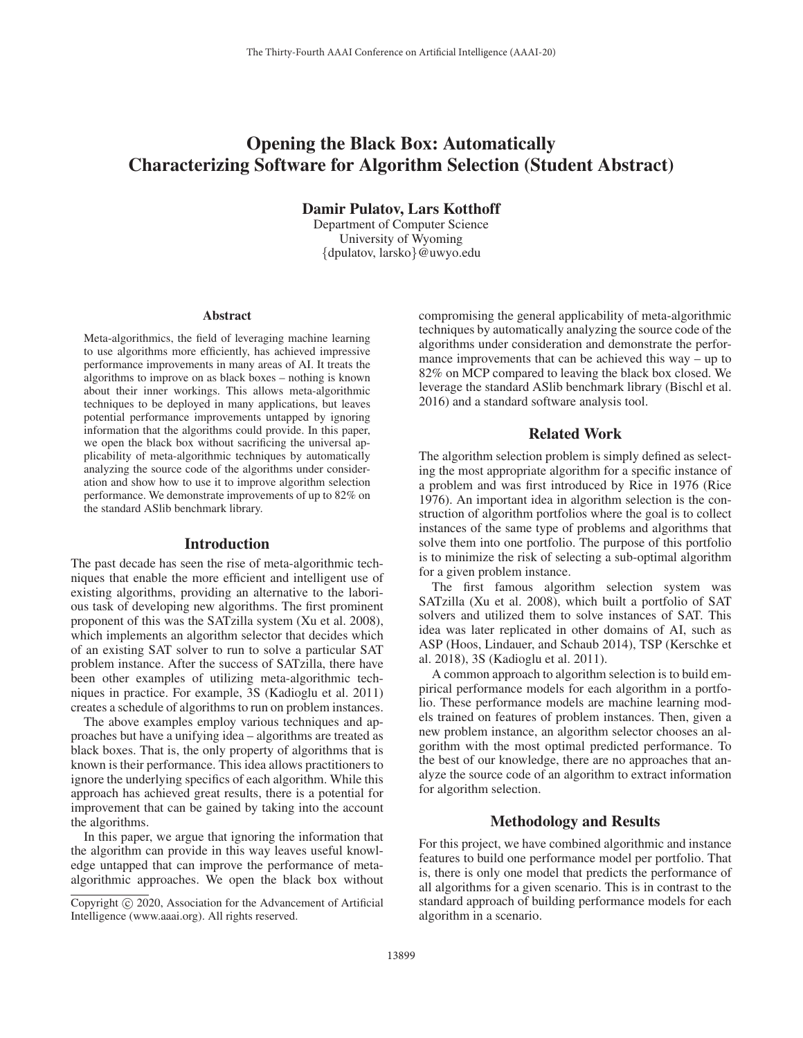# Opening the Black Box: Automatically Characterizing Software for Algorithm Selection (Student Abstract)

Damir Pulatov, Lars Kotthoff

Department of Computer Science University of Wyoming {dpulatov, larsko}@uwyo.edu

#### Abstract

Meta-algorithmics, the field of leveraging machine learning to use algorithms more efficiently, has achieved impressive performance improvements in many areas of AI. It treats the algorithms to improve on as black boxes – nothing is known about their inner workings. This allows meta-algorithmic techniques to be deployed in many applications, but leaves potential performance improvements untapped by ignoring information that the algorithms could provide. In this paper, we open the black box without sacrificing the universal applicability of meta-algorithmic techniques by automatically analyzing the source code of the algorithms under consideration and show how to use it to improve algorithm selection performance. We demonstrate improvements of up to 82% on the standard ASlib benchmark library.

### Introduction

The past decade has seen the rise of meta-algorithmic techniques that enable the more efficient and intelligent use of existing algorithms, providing an alternative to the laborious task of developing new algorithms. The first prominent proponent of this was the SATzilla system (Xu et al. 2008), which implements an algorithm selector that decides which of an existing SAT solver to run to solve a particular SAT problem instance. After the success of SATzilla, there have been other examples of utilizing meta-algorithmic techniques in practice. For example, 3S (Kadioglu et al. 2011) creates a schedule of algorithms to run on problem instances.

The above examples employ various techniques and approaches but have a unifying idea – algorithms are treated as black boxes. That is, the only property of algorithms that is known is their performance. This idea allows practitioners to ignore the underlying specifics of each algorithm. While this approach has achieved great results, there is a potential for improvement that can be gained by taking into the account the algorithms.

In this paper, we argue that ignoring the information that the algorithm can provide in this way leaves useful knowledge untapped that can improve the performance of metaalgorithmic approaches. We open the black box without compromising the general applicability of meta-algorithmic techniques by automatically analyzing the source code of the algorithms under consideration and demonstrate the performance improvements that can be achieved this way – up to 82% on MCP compared to leaving the black box closed. We leverage the standard ASlib benchmark library (Bischl et al. 2016) and a standard software analysis tool.

# Related Work

The algorithm selection problem is simply defined as selecting the most appropriate algorithm for a specific instance of a problem and was first introduced by Rice in 1976 (Rice 1976). An important idea in algorithm selection is the construction of algorithm portfolios where the goal is to collect instances of the same type of problems and algorithms that solve them into one portfolio. The purpose of this portfolio is to minimize the risk of selecting a sub-optimal algorithm for a given problem instance.

The first famous algorithm selection system was SATzilla (Xu et al. 2008), which built a portfolio of SAT solvers and utilized them to solve instances of SAT. This idea was later replicated in other domains of AI, such as ASP (Hoos, Lindauer, and Schaub 2014), TSP (Kerschke et al. 2018), 3S (Kadioglu et al. 2011).

A common approach to algorithm selection is to build empirical performance models for each algorithm in a portfolio. These performance models are machine learning models trained on features of problem instances. Then, given a new problem instance, an algorithm selector chooses an algorithm with the most optimal predicted performance. To the best of our knowledge, there are no approaches that analyze the source code of an algorithm to extract information for algorithm selection.

# Methodology and Results

For this project, we have combined algorithmic and instance features to build one performance model per portfolio. That is, there is only one model that predicts the performance of all algorithms for a given scenario. This is in contrast to the standard approach of building performance models for each algorithm in a scenario.

Copyright  $\odot$  2020, Association for the Advancement of Artificial Intelligence (www.aaai.org). All rights reserved.